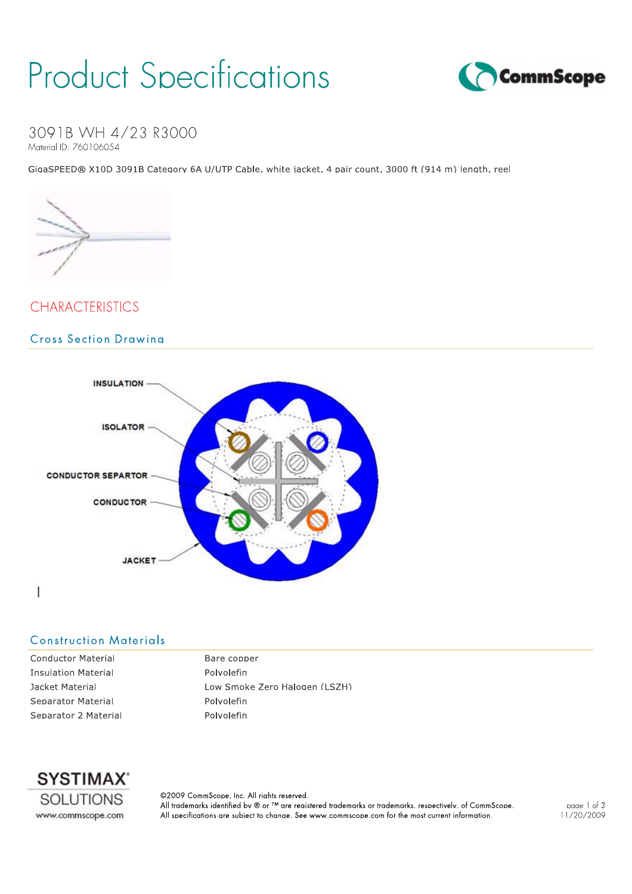## **Product Specifications**



3091B WH 4/23 R3000 Material ID: 760106054

GiaaSPEED® X10D 3091B Category 6A U/UTP Cable, white iacket, 4 pair count, 3000 ft (914 m) length, reel



### **CHARACTERISTICS**

#### **Cross Section Drawina**



#### **Construction Materials**

**Conductor Material Insulation Material** Jacket Material Separator Material Separator 2 Material Bare copper Polvolefin Low Smoke Zero Halogen (LSZH) Polvolefin Polyolefin



@2009 CommScope, Inc. All riahts reserved. All trademarks identified by ® or ™ are registered trademarks or trademarks, respectively, of CommScope. All specifications are subject to change. See www.commscope.com for the most current information.

page 1 of 3 11/20/2009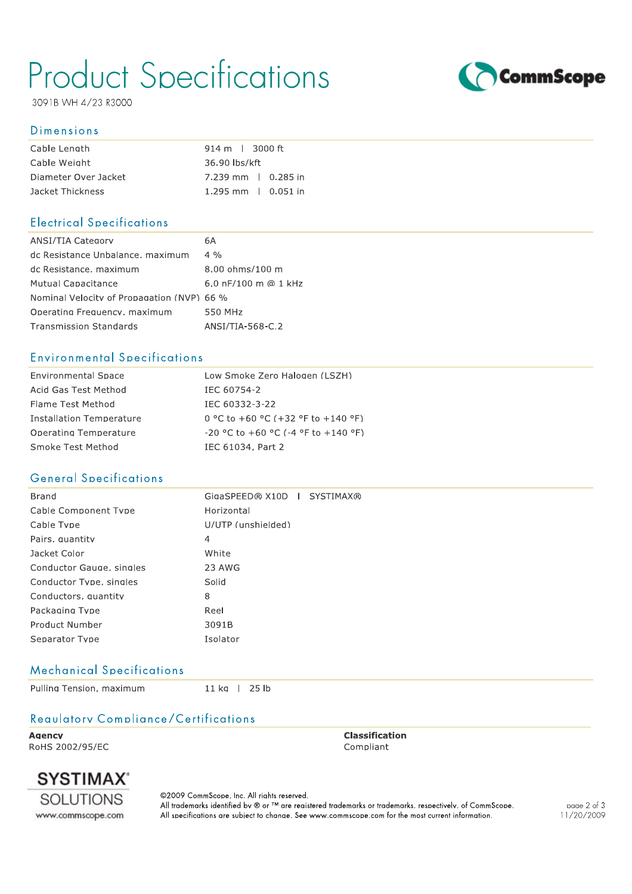## **Product Specifications**

3091B WH 4/23 R3000

#### **Dimensions**

| Cable Length         | $914 \text{ m}$   3000 ft |
|----------------------|---------------------------|
| Cable Weight         | 36.90 lbs/kft             |
| Diameter Over Jacket | 7.239 mm   0.285 in       |
| Jacket Thickness     | 1.295 mm $\,$ 0.051 in    |

#### **Electrical Specifications**

| ANSI/TIA Category                          | 6A                                |
|--------------------------------------------|-----------------------------------|
| dc Resistance Unbalance, maximum           | $4\frac{0}{0}$                    |
| dc Resistance, maximum                     | $8.00 \text{ ohms}/100 \text{ m}$ |
| Mutual Capacitance                         | 6.0 nF/100 m @ 1 kHz              |
| Nominal Velocity of Propagation (NVP) 66 % |                                   |
| Operating Frequency, maximum               | 550 MHz                           |
| <b>Transmission Standards</b>              | ANSI/TIA-568-C.2                  |

### **Environmental Specifications**

| <b>Environmental Space</b> | Low Smoke Zero Halogen (LSZH)                |
|----------------------------|----------------------------------------------|
| Acid Gas Test Method       | IEC 60754-2                                  |
| Flame Test Method          | IFC 60332-3-22                               |
| Installation Temperature   | $0$ °C to +60 °C (+32 °F to +140 °F)         |
| Operating Temperature      | $-20$ °C to $+60$ °C ( $-4$ °F to $+140$ °F) |
| Smoke Test Method          | IEC 61034, Part 2                            |

### **General Specifications**

| GigaSPEED® X10D   SYSTIMAX® |
|-----------------------------|
| Horizontal                  |
| U/UTP (unshielded)          |
| 4                           |
| White                       |
| 23 AWG                      |
| Solid                       |
| 8                           |
| Reel                        |
| 3091B                       |
| Isolator                    |
|                             |

### **Mechanical Specifications**

Pulling Tension, maximum

11 kg | 25 lb

## Requiatory Compliance/Certifications

**Agency** RoHS 2002/95/EC **Classification** Compliant



@2009 CommScope, Inc. All riahts reserved. All trademarks identified by ® or ™ are reaistered trademarks or trademarks, respectively, of CommScope. All specifications are subject to change. See www.commscope.com for the most current information.



page 2 of 3 11/20/2009